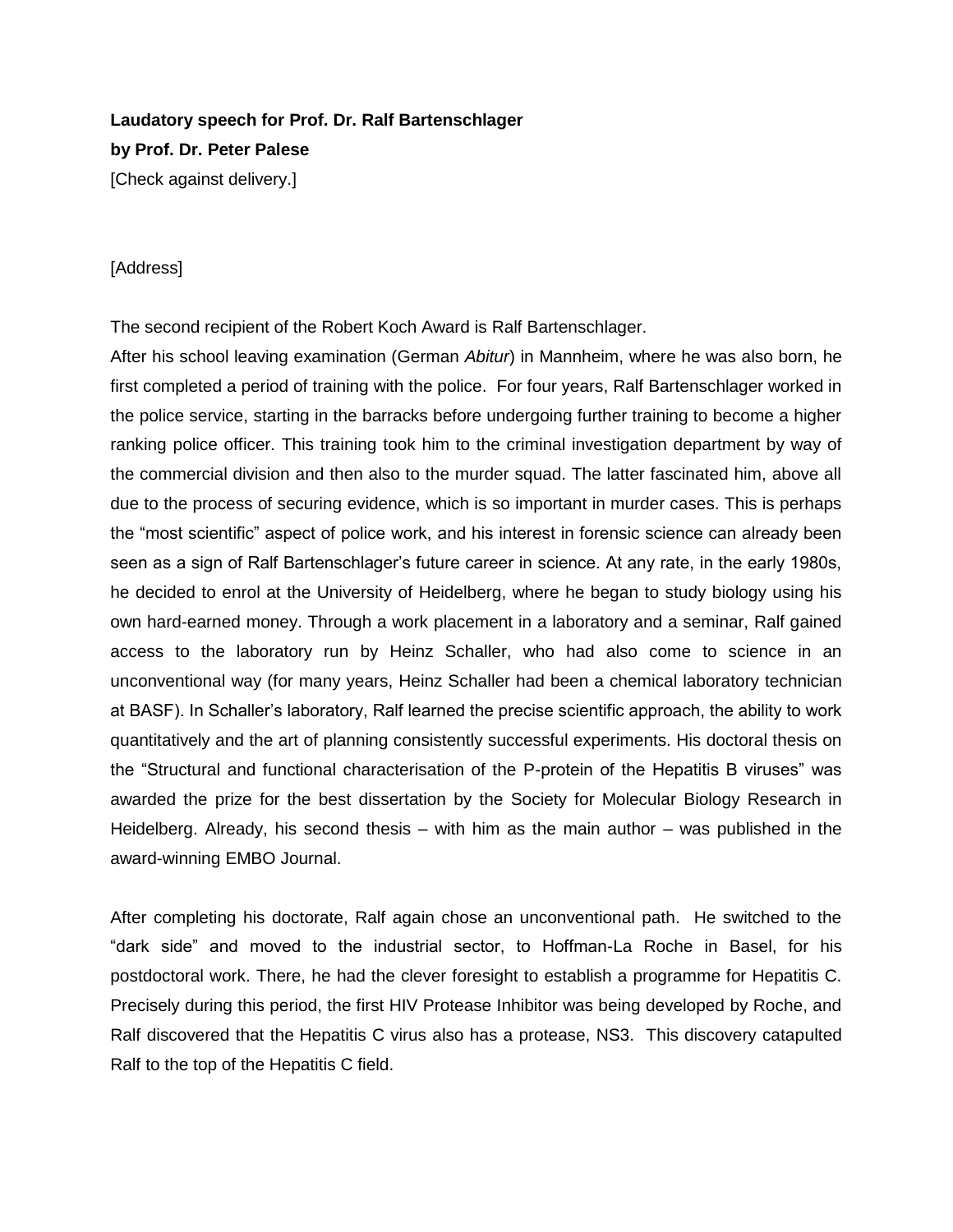## **Laudatory speech for Prof. Dr. Ralf Bartenschlager by Prof. Dr. Peter Palese** [Check against delivery.]

## [Address]

The second recipient of the Robert Koch Award is Ralf Bartenschlager.

After his school leaving examination (German *Abitur*) in Mannheim, where he was also born, he first completed a period of training with the police. For four years, Ralf Bartenschlager worked in the police service, starting in the barracks before undergoing further training to become a higher ranking police officer. This training took him to the criminal investigation department by way of the commercial division and then also to the murder squad. The latter fascinated him, above all due to the process of securing evidence, which is so important in murder cases. This is perhaps the "most scientific" aspect of police work, and his interest in forensic science can already been seen as a sign of Ralf Bartenschlager's future career in science. At any rate, in the early 1980s, he decided to enrol at the University of Heidelberg, where he began to study biology using his own hard-earned money. Through a work placement in a laboratory and a seminar, Ralf gained access to the laboratory run by Heinz Schaller, who had also come to science in an unconventional way (for many years, Heinz Schaller had been a chemical laboratory technician at BASF). In Schaller's laboratory, Ralf learned the precise scientific approach, the ability to work quantitatively and the art of planning consistently successful experiments. His doctoral thesis on the "Structural and functional characterisation of the P-protein of the Hepatitis B viruses" was awarded the prize for the best dissertation by the Society for Molecular Biology Research in Heidelberg. Already, his second thesis – with him as the main author – was published in the award-winning EMBO Journal.

After completing his doctorate, Ralf again chose an unconventional path. He switched to the "dark side" and moved to the industrial sector, to Hoffman-La Roche in Basel, for his postdoctoral work. There, he had the clever foresight to establish a programme for Hepatitis C. Precisely during this period, the first HIV Protease Inhibitor was being developed by Roche, and Ralf discovered that the Hepatitis C virus also has a protease, NS3. This discovery catapulted Ralf to the top of the Hepatitis C field.